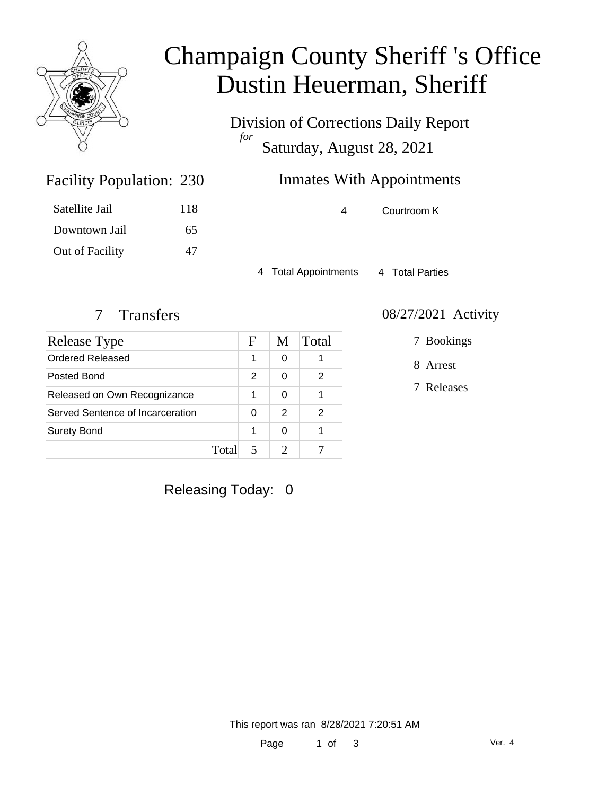

# Champaign County Sheriff 's Office Dustin Heuerman, Sheriff

Division of Corrections Daily Report *for* Saturday, August 28, 2021

## Inmates With Appointments

4 Courtroom K

4 Total Appointments 4 Total Parties

Facility Population: 230

Satellite Jail 118

Downtown Jail 65

Out of Facility 47

| Release Type                     |       | F             | M             | Total |
|----------------------------------|-------|---------------|---------------|-------|
| Ordered Released                 |       | 1             | 0             |       |
| Posted Bond                      |       | $\mathcal{P}$ | 0             | 2     |
| Released on Own Recognizance     |       | 1             | 0             |       |
| Served Sentence of Incarceration |       | 0             | $\mathcal{P}$ | 2     |
| <b>Surety Bond</b>               |       | 1             | 0             |       |
|                                  | Total |               |               |       |

#### 7 Transfers 08/27/2021 Activity

7 Bookings

8 Arrest

7 Releases

Releasing Today: 0

This report was ran 8/28/2021 7:20:51 AM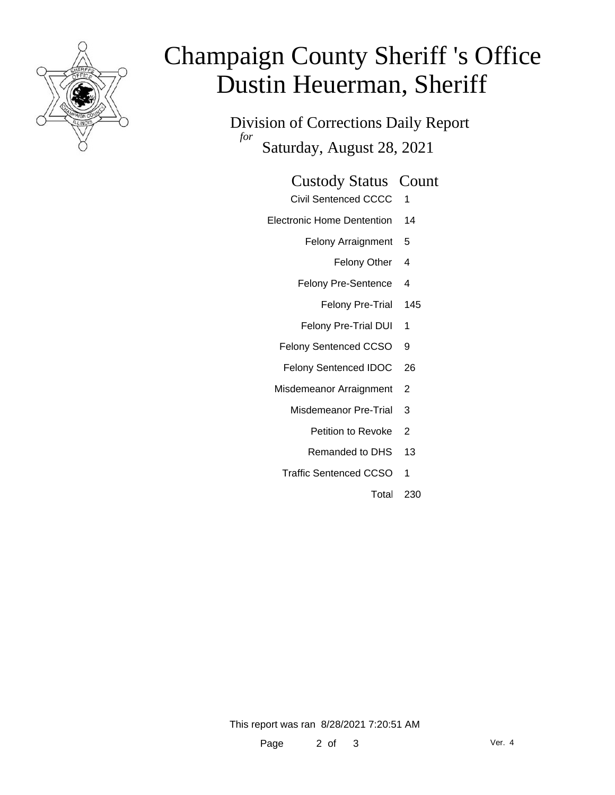

# Champaign County Sheriff 's Office Dustin Heuerman, Sheriff

Division of Corrections Daily Report *for* Saturday, August 28, 2021

#### Custody Status Count

- Civil Sentenced CCCC 1
- Electronic Home Dentention 14
	- Felony Arraignment 5
		- Felony Other 4
	- Felony Pre-Sentence 4
		- Felony Pre-Trial 145
	- Felony Pre-Trial DUI 1
	- Felony Sentenced CCSO 9
	- Felony Sentenced IDOC 26
	- Misdemeanor Arraignment 2
		- Misdemeanor Pre-Trial 3
			- Petition to Revoke 2
			- Remanded to DHS 13
		- Traffic Sentenced CCSO 1
			- Total 230

This report was ran 8/28/2021 7:20:51 AM